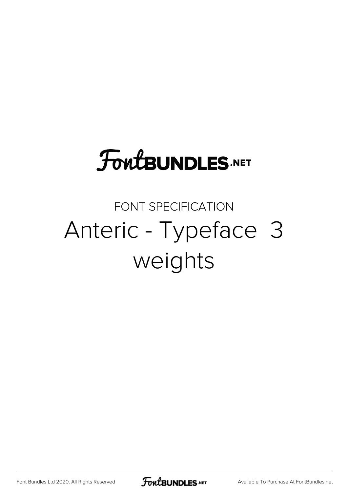# **FoutBUNDLES.NET**

## FONT SPECIFICATION Anteric - Typeface 3 weights

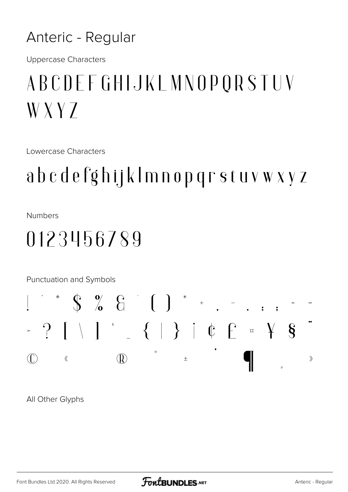#### Anteric - Regular

**Uppercase Characters** 

# ABCDEFGHIJKLMNOPORSTUV  $WXYZ$

**Lowercase Characters** 

## abcdefghijklmnopqrstuvwxyz

**Numbers** 

### 0123456789

Punctuation and Symbols



All Other Glyphs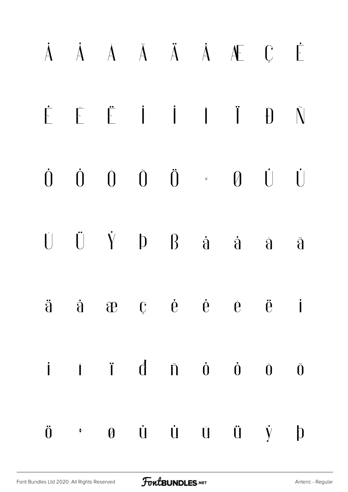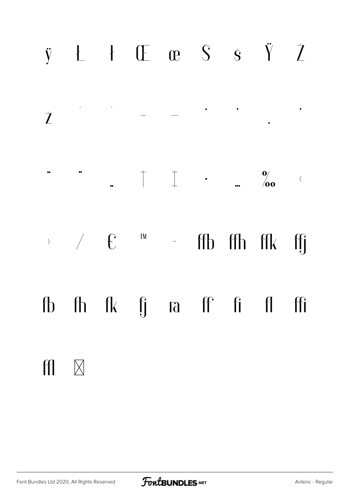### 

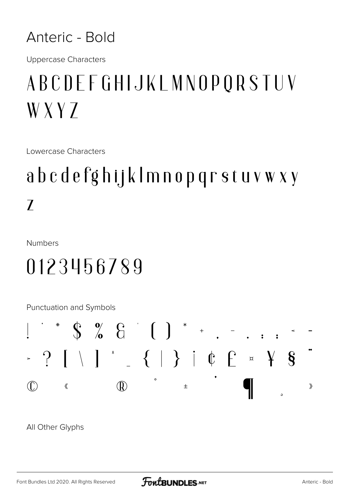#### Anteric - Bold

**Uppercase Characters** 

# ABCDEFGHIJKLMNOPQRSTUV  $WXYZ$

Lowercase Characters

# abcdefghijklmnopqrstuvwxy  $\overline{\prime}$

**Numbers** 

## 0123456789

Punctuation and Symbols



All Other Glyphs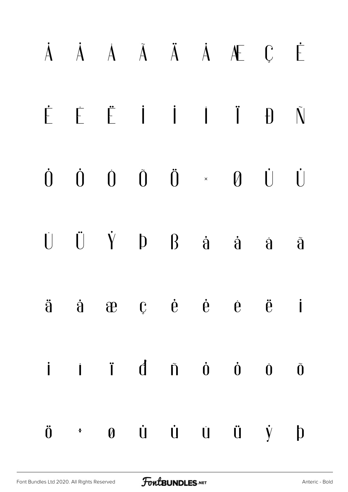#### À À À Ã Ã Ä Á Æ Ç Ė  $\dot{\mathsf{F}}$  $\mathbf{D}$  $\tilde{\mathsf{N}}$  $\dot{0}$   $\dot{0}$   $\ddot{0}$   $\dot{0}$   $\times$  $\theta$   $\dot{\theta}$  $\dot{0}$  $\dot{[}$  $\ddot{U}$   $\dot{Y}$   $D$   $B$   $\dot{a}$   $\dot{a}$  $\dot{[\ ]}$  $\mathbf{\hat{d}}$  $\tilde{\mathbf{d}}$  $\mathbf{C}$   $\dot{\mathbf{e}}$   $\dot{\mathbf{e}}$   $\dot{\mathbf{e}}$   $\ddot{\mathbf{e}}$   $\ddot{\mathbf{e}}$  $\ddot{\mathbf{d}}$  $\dot{a}$   $\dot{a}$  $\overline{\phantom{a}}$  $\mathbf{i}$   $\mathbf{j}$   $\mathbf{d}$   $\mathbf{\tilde{n}}$   $\mathbf{0}$   $\mathbf{0}$ İ Õ Ù U Û  $\ddot{0}$  $\ddot{u}$   $\dot{y}$   $p$  $\boldsymbol{\theta}$  $\ddot{\bullet}$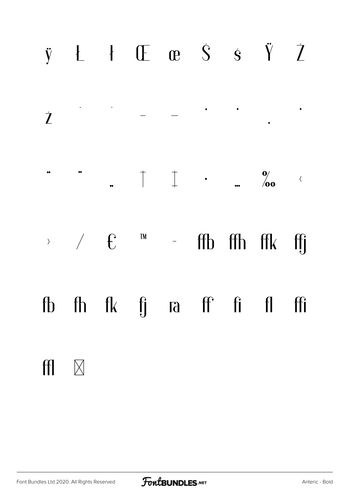### 



 $H \times$ 

 $\label{eq:2.1} \begin{array}{c} \mathbf{A} & \mathbf{A} \\ \mathbf{A} & \mathbf{A} \end{array}$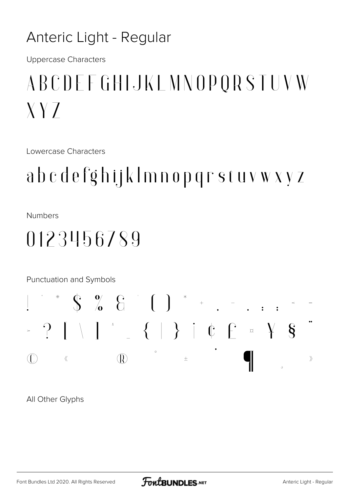#### Anteric Light - Regular

**Uppercase Characters** 

# ABCDEFGHIJKLMNOPORSTUVW  $XYZ$

**Lowercase Characters** 

## abcdefghijklmnopqrstuvwxyz

**Numbers** 

### 0123456789

Punctuation and Symbols



All Other Glyphs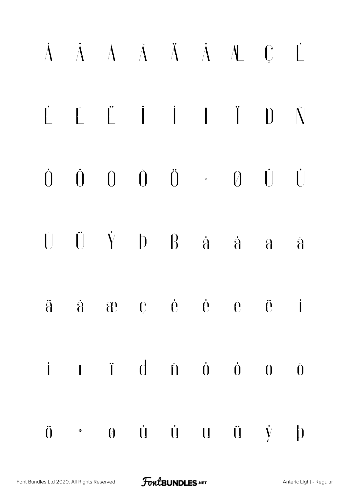